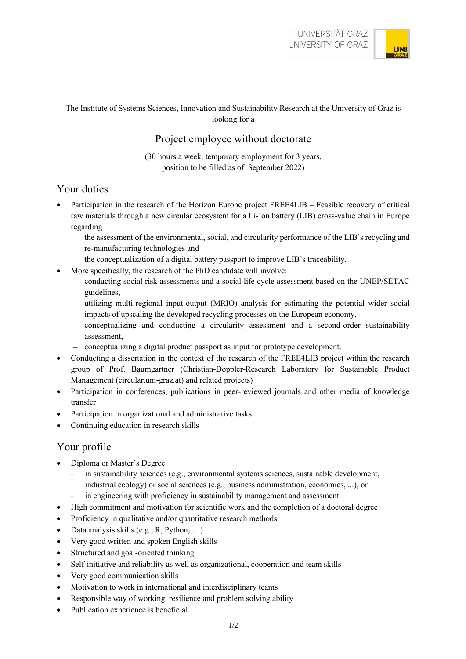

#### The Institute of Systems Sciences, Innovation and Sustainability Research at the University of Graz is looking for a

## Project employee without doctorate

(30 hours a week, temporary employment for 3 years, position to be filled as of September 2022)

#### Your duties

- Participation in the research of the Horizon Europe project FREE4LIB Feasible recovery of critical raw materials through a new circular ecosystem for a Li-Ion battery (LIB) cross-value chain in Europe regarding
	- the assessment of the environmental, social, and circularity performance of the LIB's recycling and re-manufacturing technologies and
	- the conceptualization of a digital battery passport to improve LIB's traceability.
	- More specifically, the research of the PhD candidate will involve:
		- conducting social risk assessments and a social life cycle assessment based on the UNEP/SETAC guidelines,
		- utilizing multi-regional input-output (MRIO) analysis for estimating the potential wider social impacts of upscaling the developed recycling processes on the European economy,
		- conceptualizing and conducting a circularity assessment and a second-order sustainability assessment,
		- conceptualizing a digital product passport as input for prototype development.
- Conducting a dissertation in the context of the research of the FREE4LIB project within the research group of Prof. Baumgartner (Christian-Doppler-Research Laboratory for Sustainable Product Management (circular.uni-graz.at) and related projects)
- Participation in conferences, publications in peer-reviewed journals and other media of knowledge transfer
- Participation in organizational and administrative tasks
- Continuing education in research skills

#### Your profile

- Diploma or Master's Degree
	- in sustainability sciences (e.g., environmental systems sciences, sustainable development, industrial ecology) or social sciences (e.g., business administration, economics, ...), or
	- in engineering with proficiency in sustainability management and assessment
- High commitment and motivation for scientific work and the completion of a doctoral degree
- Proficiency in qualitative and/or quantitative research methods
- Data analysis skills (e.g., R, Python, ...)
- Very good written and spoken English skills
- Structured and goal-oriented thinking
- Self-initiative and reliability as well as organizational, cooperation and team skills
- Very good communication skills
- Motivation to work in international and interdisciplinary teams
- Responsible way of working, resilience and problem solving ability
- Publication experience is beneficial